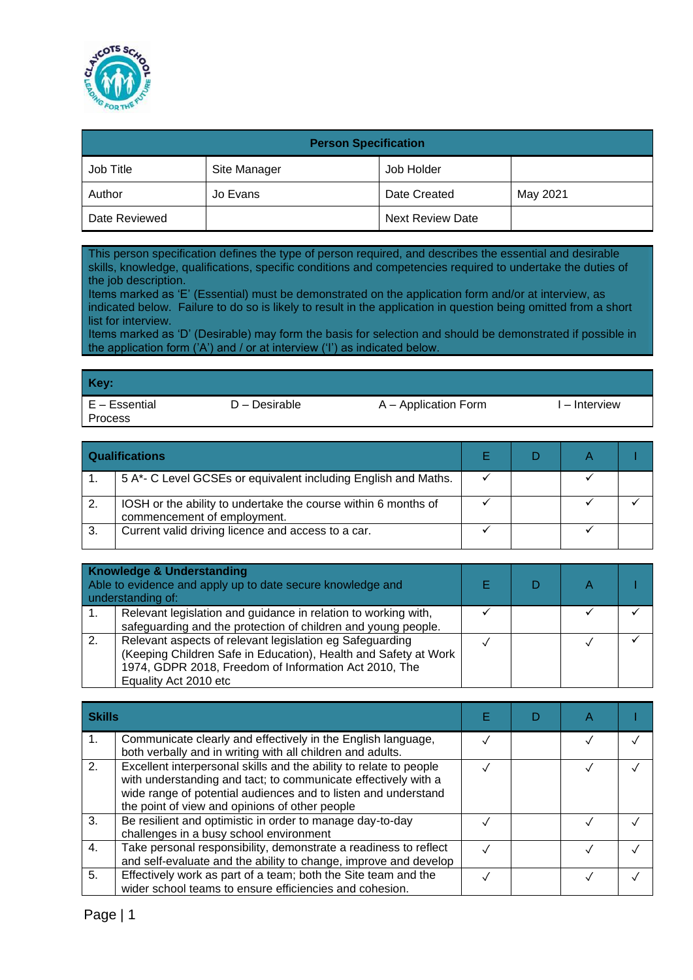

| <b>Person Specification</b> |              |                         |          |  |  |
|-----------------------------|--------------|-------------------------|----------|--|--|
| Job Title                   | Site Manager | Job Holder              |          |  |  |
| Author                      | Jo Evans     | Date Created            | May 2021 |  |  |
| Date Reviewed               |              | <b>Next Review Date</b> |          |  |  |

This person specification defines the type of person required, and describes the essential and desirable skills, knowledge, qualifications, specific conditions and competencies required to undertake the duties of the job description.

Items marked as 'E' (Essential) must be demonstrated on the application form and/or at interview, as indicated below. Failure to do so is likely to result in the application in question being omitted from a short list for interview.

Items marked as 'D' (Desirable) may form the basis for selection and should be demonstrated if possible in the application form ('A') and / or at interview ('I') as indicated below.

| Key:                            |                 |                      |               |
|---------------------------------|-----------------|----------------------|---------------|
| E - Essential<br><b>Process</b> | $D -$ Desirable | A – Application Form | l – Interview |

|                  | <b>Qualifications</b>                                                                         |  |  |
|------------------|-----------------------------------------------------------------------------------------------|--|--|
|                  | 5 A*- C Level GCSEs or equivalent including English and Maths.                                |  |  |
| $\overline{2}$ . | IOSH or the ability to undertake the course within 6 months of<br>commencement of employment. |  |  |
| 3.               | Current valid driving licence and access to a car.                                            |  |  |

|    | <b>Knowledge &amp; Understanding</b><br>Able to evidence and apply up to date secure knowledge and<br>understanding of:                                                                                       |  |  |
|----|---------------------------------------------------------------------------------------------------------------------------------------------------------------------------------------------------------------|--|--|
| 1. | Relevant legislation and guidance in relation to working with,<br>safeguarding and the protection of children and young people.                                                                               |  |  |
| 2. | Relevant aspects of relevant legislation eg Safeguarding<br>(Keeping Children Safe in Education), Health and Safety at Work<br>1974, GDPR 2018, Freedom of Information Act 2010, The<br>Equality Act 2010 etc |  |  |

| <b>Skills</b>  |                                                                                                                                                                                                                                                          |  |  |
|----------------|----------------------------------------------------------------------------------------------------------------------------------------------------------------------------------------------------------------------------------------------------------|--|--|
|                | Communicate clearly and effectively in the English language,<br>both verbally and in writing with all children and adults.                                                                                                                               |  |  |
| 2.             | Excellent interpersonal skills and the ability to relate to people<br>with understanding and tact; to communicate effectively with a<br>wide range of potential audiences and to listen and understand<br>the point of view and opinions of other people |  |  |
| 3.             | Be resilient and optimistic in order to manage day-to-day<br>challenges in a busy school environment                                                                                                                                                     |  |  |
| $\mathbf{4}$ . | Take personal responsibility, demonstrate a readiness to reflect<br>and self-evaluate and the ability to change, improve and develop                                                                                                                     |  |  |
| 5.             | Effectively work as part of a team; both the Site team and the<br>wider school teams to ensure efficiencies and cohesion.                                                                                                                                |  |  |

Page | 1